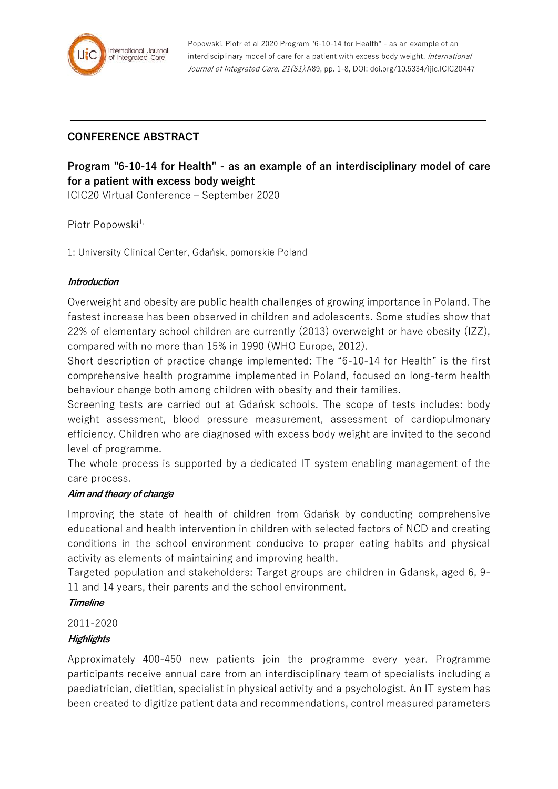

# **CONFERENCE ABSTRACT**

# **Program "6-10-14 for Health" - as an example of an interdisciplinary model of care for a patient with excess body weight**

ICIC20 Virtual Conference – September 2020

Piotr Popowski<sup>1,</sup>

1: University Clinical Center, Gdańsk, pomorskie Poland

#### **Introduction**

Overweight and obesity are public health challenges of growing importance in Poland. The fastest increase has been observed in children and adolescents. Some studies show that 22% of elementary school children are currently (2013) overweight or have obesity (IZZ), compared with no more than 15% in 1990 (WHO Europe, 2012).

Short description of practice change implemented: The "6-10-14 for Health" is the first comprehensive health programme implemented in Poland, focused on long-term health behaviour change both among children with obesity and their families.

Screening tests are carried out at Gdańsk schools. The scope of tests includes: body weight assessment, blood pressure measurement, assessment of cardiopulmonary efficiency. Children who are diagnosed with excess body weight are invited to the second level of programme.

The whole process is supported by a dedicated IT system enabling management of the care process.

#### **Aim and theory of change**

Improving the state of health of children from Gdańsk by conducting comprehensive educational and health intervention in children with selected factors of NCD and creating conditions in the school environment conducive to proper eating habits and physical activity as elements of maintaining and improving health.

Targeted population and stakeholders: Target groups are children in Gdansk, aged 6, 9- 11 and 14 years, their parents and the school environment.

#### **Timeline**

2011-2020

#### **Highlights**

Approximately 400-450 new patients join the programme every year. Programme participants receive annual care from an interdisciplinary team of specialists including a paediatrician, dietitian, specialist in physical activity and a psychologist. An IT system has been created to digitize patient data and recommendations, control measured parameters